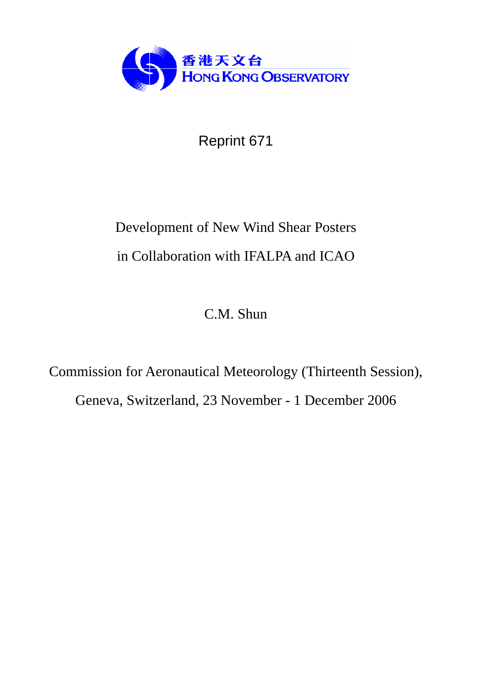

Reprint 671

# Development of New Wind Shear Posters in Collaboration with IFALPA and ICAO

C.M. Shun

Commission for Aeronautical Meteorology (Thirteenth Session), Geneva, Switzerland, 23 November - 1 December 2006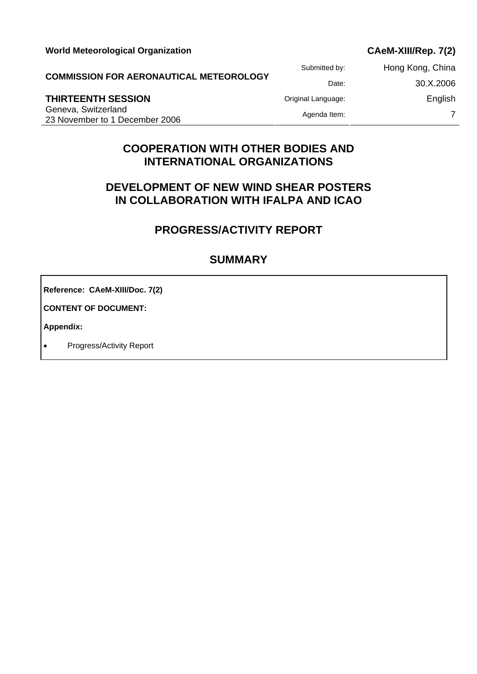| <b>World Meteorological Organization</b> |
|------------------------------------------|
|------------------------------------------|

## CAeM-XIII/Rep. 7(2)

**COMMISSION FOR AERONAUTICAL METEOROLOGY**

Geneva, Switzerland External of the University of the University of the University of the Agenda Item: 7<br>Agenda Item: 7<br>23 November to 1 December 2006

Submitted by: Hong Kong, China Date: 30.X.2006 **THIRTEENTH SESSION Construction Construction Construction Construction Construction Construction Construction** 

# **COOPERATION WITH OTHER BODIES AND INTERNATIONAL ORGANIZATIONS**

# **DEVELOPMENT OF NEW WIND SHEAR POSTERS IN COLLABORATION WITH IFALPA AND ICAO**

# **PROGRESS/ACTIVITY REPORT**

## **SUMMARY**

**Reference: CAeM-XIII/Doc. 7(2)** 

**CONTENT OF DOCUMENT:** 

**Appendix:** 

• Progress/Activity Report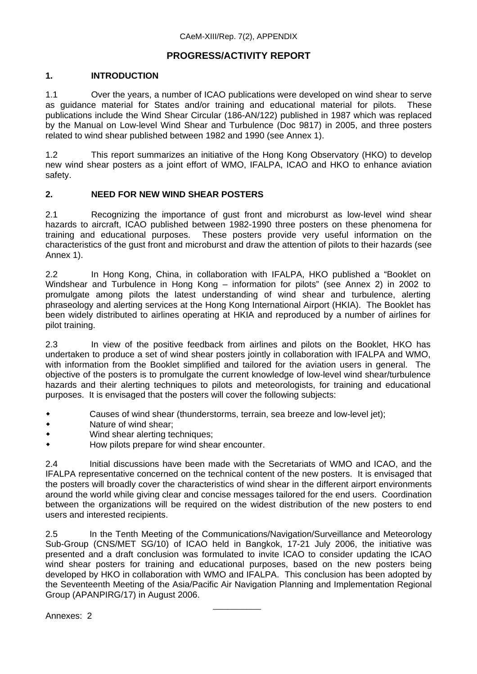## **PROGRESS/ACTIVITY REPORT**

## **1. INTRODUCTION**

1.1 Over the years, a number of ICAO publications were developed on wind shear to serve as guidance material for States and/or training and educational material for pilots. These publications include the Wind Shear Circular (186-AN/122) published in 1987 which was replaced by the Manual on Low-level Wind Shear and Turbulence (Doc 9817) in 2005, and three posters related to wind shear published between 1982 and 1990 (see Annex 1).

1.2 This report summarizes an initiative of the Hong Kong Observatory (HKO) to develop new wind shear posters as a joint effort of WMO, IFALPA, ICAO and HKO to enhance aviation safety.

## **2. NEED FOR NEW WIND SHEAR POSTERS**

2.1 Recognizing the importance of gust front and microburst as low-level wind shear hazards to aircraft, ICAO published between 1982-1990 three posters on these phenomena for training and educational purposes. These posters provide very useful information on the characteristics of the gust front and microburst and draw the attention of pilots to their hazards (see Annex 1).

2.2 In Hong Kong, China, in collaboration with IFALPA, HKO published a "Booklet on Windshear and Turbulence in Hong Kong – information for pilots" (see Annex 2) in 2002 to promulgate among pilots the latest understanding of wind shear and turbulence, alerting phraseology and alerting services at the Hong Kong International Airport (HKIA). The Booklet has been widely distributed to airlines operating at HKIA and reproduced by a number of airlines for pilot training.

2.3 In view of the positive feedback from airlines and pilots on the Booklet, HKO has undertaken to produce a set of wind shear posters jointly in collaboration with IFALPA and WMO, with information from the Booklet simplified and tailored for the aviation users in general. The objective of the posters is to promulgate the current knowledge of low-level wind shear/turbulence hazards and their alerting techniques to pilots and meteorologists, for training and educational purposes. It is envisaged that the posters will cover the following subjects:

- Causes of wind shear (thunderstorms, terrain, sea breeze and low-level jet);
- Nature of wind shear;
- Wind shear alerting techniques;
- How pilots prepare for wind shear encounter.

2.4 Initial discussions have been made with the Secretariats of WMO and ICAO, and the IFALPA representative concerned on the technical content of the new posters. It is envisaged that the posters will broadly cover the characteristics of wind shear in the different airport environments around the world while giving clear and concise messages tailored for the end users. Coordination between the organizations will be required on the widest distribution of the new posters to end users and interested recipients.

2.5 In the Tenth Meeting of the Communications/Navigation/Surveillance and Meteorology Sub-Group (CNS/MET SG/10) of ICAO held in Bangkok, 17-21 July 2006, the initiative was presented and a draft conclusion was formulated to invite ICAO to consider updating the ICAO wind shear posters for training and educational purposes, based on the new posters being developed by HKO in collaboration with WMO and IFALPA. This conclusion has been adopted by the Seventeenth Meeting of the Asia/Pacific Air Navigation Planning and Implementation Regional Group (APANPIRG/17) in August 2006.

\_\_\_\_\_\_\_\_\_\_

Annexes: 2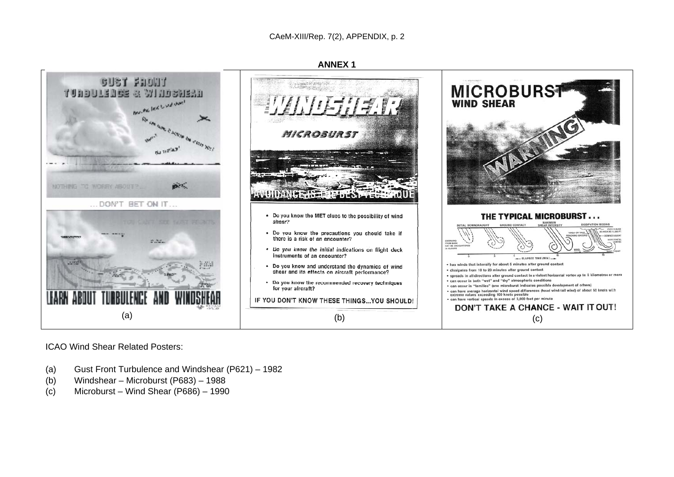

ICAO Wind Shear Related Posters:

- (a) Gust Front Turbulence and Windshear (P621) 1982
- (b) Windshear Microburst (P683) 1988
- (c) Microburst Wind Shear (P686) 1990